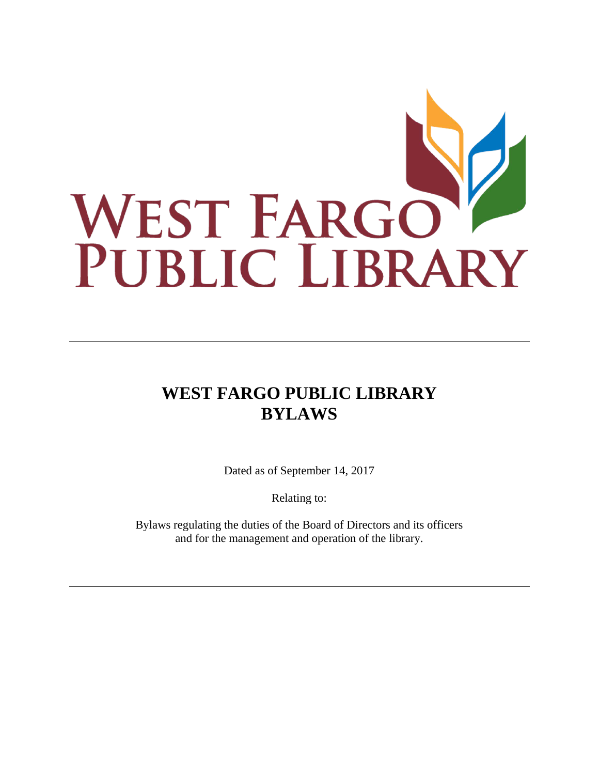

# **WEST FARGO PUBLIC LIBRARY BYLAWS**

Dated as of September 14, 2017

Relating to:

Bylaws regulating the duties of the Board of Directors and its officers and for the management and operation of the library.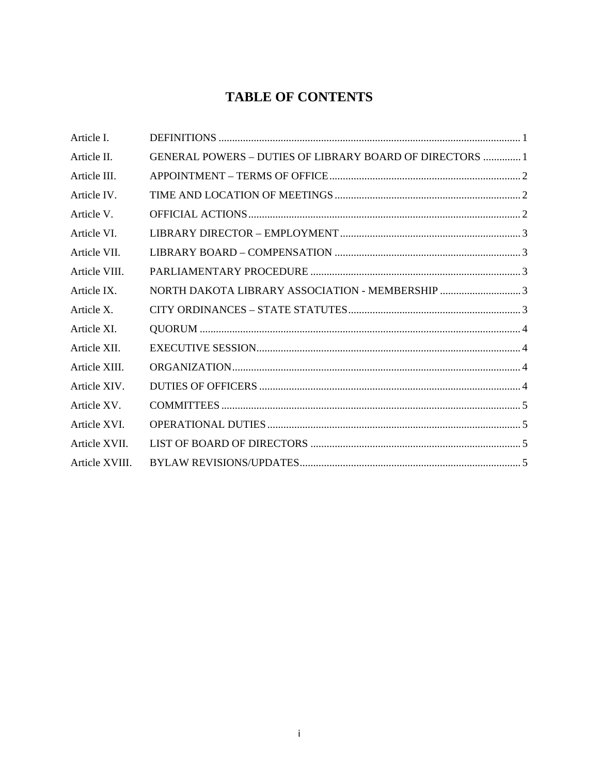## **TABLE OF CONTENTS**

| Article I.     |                                                                 |
|----------------|-----------------------------------------------------------------|
| Article II.    | <b>GENERAL POWERS - DUTIES OF LIBRARY BOARD OF DIRECTORS  1</b> |
| Article III.   |                                                                 |
| Article IV.    |                                                                 |
| Article V.     |                                                                 |
| Article VI.    |                                                                 |
| Article VII.   |                                                                 |
| Article VIII.  |                                                                 |
| Article IX.    |                                                                 |
| Article X.     |                                                                 |
| Article XI.    |                                                                 |
| Article XII.   |                                                                 |
| Article XIII.  |                                                                 |
| Article XIV.   |                                                                 |
| Article XV.    |                                                                 |
| Article XVI.   |                                                                 |
| Article XVII.  |                                                                 |
| Article XVIII. |                                                                 |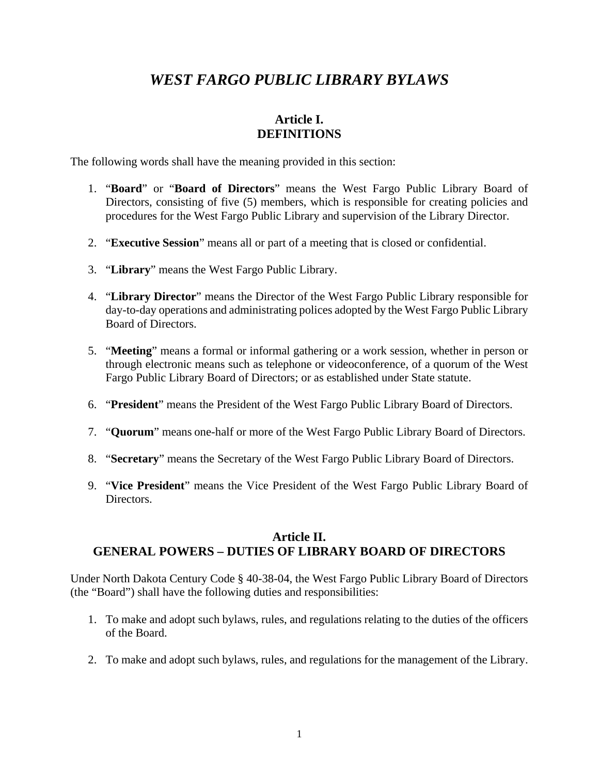## *WEST FARGO PUBLIC LIBRARY BYLAWS*

## **Article I. DEFINITIONS**

<span id="page-2-0"></span>The following words shall have the meaning provided in this section:

- 1. "**Board**" or "**Board of Directors**" means the West Fargo Public Library Board of Directors, consisting of five (5) members, which is responsible for creating policies and procedures for the West Fargo Public Library and supervision of the Library Director.
- 2. "**Executive Session**" means all or part of a meeting that is closed or confidential.
- 3. "**Library**" means the West Fargo Public Library.
- 4. "**Library Director**" means the Director of the West Fargo Public Library responsible for day-to-day operations and administrating polices adopted by the West Fargo Public Library Board of Directors.
- 5. "**Meeting**" means a formal or informal gathering or a work session, whether in person or through electronic means such as telephone or videoconference, of a quorum of the West Fargo Public Library Board of Directors; or as established under State statute.
- 6. "**President**" means the President of the West Fargo Public Library Board of Directors.
- 7. "**Quorum**" means one-half or more of the West Fargo Public Library Board of Directors.
- 8. "**Secretary**" means the Secretary of the West Fargo Public Library Board of Directors.
- 9. "**Vice President**" means the Vice President of the West Fargo Public Library Board of Directors.

## <span id="page-2-1"></span>**Article II. GENERAL POWERS – DUTIES OF LIBRARY BOARD OF DIRECTORS**

Under North Dakota Century Code § 40-38-04, the West Fargo Public Library Board of Directors (the "Board") shall have the following duties and responsibilities:

- 1. To make and adopt such bylaws, rules, and regulations relating to the duties of the officers of the Board.
- 2. To make and adopt such bylaws, rules, and regulations for the management of the Library.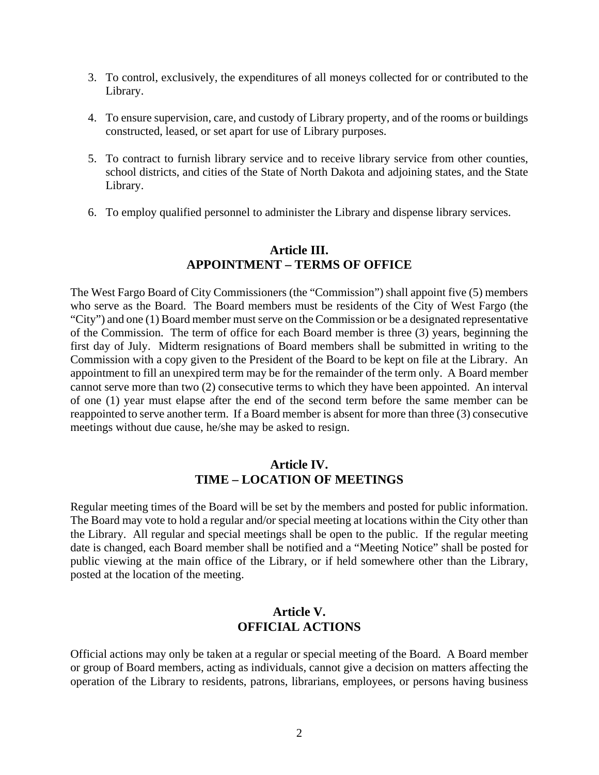- 3. To control, exclusively, the expenditures of all moneys collected for or contributed to the Library.
- 4. To ensure supervision, care, and custody of Library property, and of the rooms or buildings constructed, leased, or set apart for use of Library purposes.
- 5. To contract to furnish library service and to receive library service from other counties, school districts, and cities of the State of North Dakota and adjoining states, and the State Library.
- 6. To employ qualified personnel to administer the Library and dispense library services.

## **Article III. APPOINTMENT – TERMS OF OFFICE**

<span id="page-3-0"></span>The West Fargo Board of City Commissioners (the "Commission") shall appoint five (5) members who serve as the Board. The Board members must be residents of the City of West Fargo (the "City") and one (1) Board member must serve on the Commission or be a designated representative of the Commission. The term of office for each Board member is three (3) years, beginning the first day of July. Midterm resignations of Board members shall be submitted in writing to the Commission with a copy given to the President of the Board to be kept on file at the Library. An appointment to fill an unexpired term may be for the remainder of the term only. A Board member cannot serve more than two (2) consecutive terms to which they have been appointed. An interval of one (1) year must elapse after the end of the second term before the same member can be reappointed to serve another term. If a Board member is absent for more than three (3) consecutive meetings without due cause, he/she may be asked to resign.

#### **Article IV. TIME – LOCATION OF MEETINGS**

<span id="page-3-1"></span>Regular meeting times of the Board will be set by the members and posted for public information. The Board may vote to hold a regular and/or special meeting at locations within the City other than the Library. All regular and special meetings shall be open to the public. If the regular meeting date is changed, each Board member shall be notified and a "Meeting Notice" shall be posted for public viewing at the main office of the Library, or if held somewhere other than the Library, posted at the location of the meeting.

## **Article V. OFFICIAL ACTIONS**

<span id="page-3-2"></span>Official actions may only be taken at a regular or special meeting of the Board. A Board member or group of Board members, acting as individuals, cannot give a decision on matters affecting the operation of the Library to residents, patrons, librarians, employees, or persons having business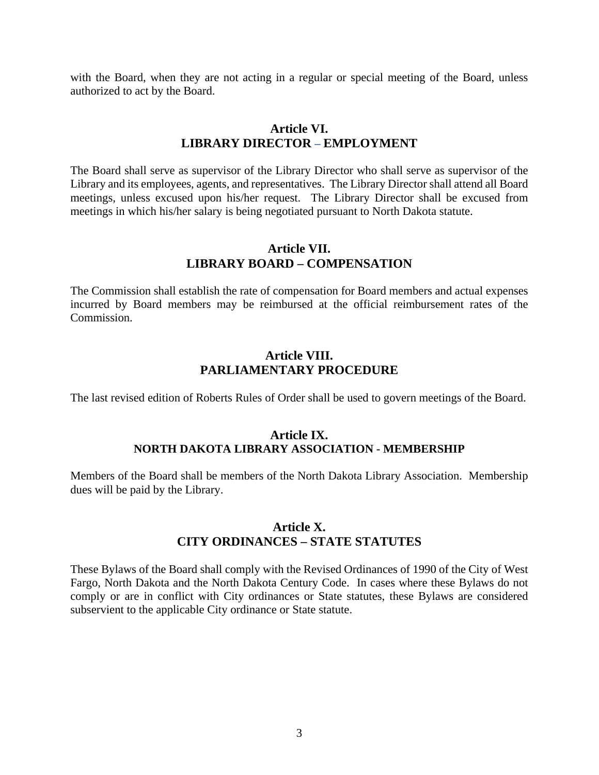with the Board, when they are not acting in a regular or special meeting of the Board, unless authorized to act by the Board.

#### **Article VI. LIBRARY DIRECTOR – EMPLOYMENT**

<span id="page-4-0"></span>The Board shall serve as supervisor of the Library Director who shall serve as supervisor of the Library and its employees, agents, and representatives. The Library Director shall attend all Board meetings, unless excused upon his/her request. The Library Director shall be excused from meetings in which his/her salary is being negotiated pursuant to North Dakota statute.

#### **Article VII. LIBRARY BOARD – COMPENSATION**

<span id="page-4-1"></span>The Commission shall establish the rate of compensation for Board members and actual expenses incurred by Board members may be reimbursed at the official reimbursement rates of the Commission.

## **Article VIII. PARLIAMENTARY PROCEDURE**

<span id="page-4-2"></span>The last revised edition of Roberts Rules of Order shall be used to govern meetings of the Board.

#### **Article IX. NORTH DAKOTA LIBRARY ASSOCIATION - MEMBERSHIP**

<span id="page-4-3"></span>Members of the Board shall be members of the North Dakota Library Association. Membership dues will be paid by the Library.

#### **Article X. CITY ORDINANCES – STATE STATUTES**

<span id="page-4-4"></span>These Bylaws of the Board shall comply with the Revised Ordinances of 1990 of the City of West Fargo, North Dakota and the North Dakota Century Code. In cases where these Bylaws do not comply or are in conflict with City ordinances or State statutes, these Bylaws are considered subservient to the applicable City ordinance or State statute.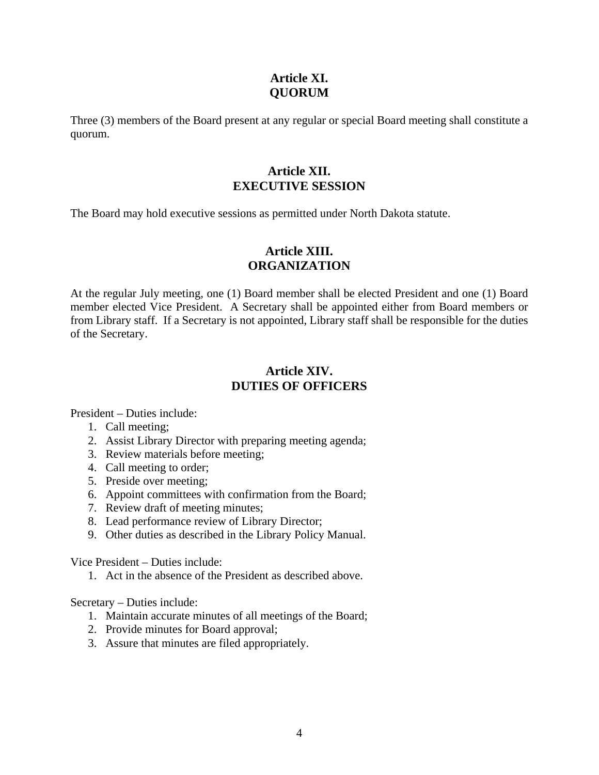## **Article XI. QUORUM**

<span id="page-5-0"></span>Three (3) members of the Board present at any regular or special Board meeting shall constitute a quorum.

## **Article XII. EXECUTIVE SESSION**

<span id="page-5-1"></span>The Board may hold executive sessions as permitted under North Dakota statute.

## **Article XIII. ORGANIZATION**

<span id="page-5-2"></span>At the regular July meeting, one (1) Board member shall be elected President and one (1) Board member elected Vice President. A Secretary shall be appointed either from Board members or from Library staff. If a Secretary is not appointed, Library staff shall be responsible for the duties of the Secretary.

## **Article XIV. DUTIES OF OFFICERS**

<span id="page-5-3"></span>President – Duties include:

- 1. Call meeting;
- 2. Assist Library Director with preparing meeting agenda;
- 3. Review materials before meeting;
- 4. Call meeting to order;
- 5. Preside over meeting;
- 6. Appoint committees with confirmation from the Board;
- 7. Review draft of meeting minutes;
- 8. Lead performance review of Library Director;
- 9. Other duties as described in the Library Policy Manual.

Vice President – Duties include:

1. Act in the absence of the President as described above.

Secretary – Duties include:

- 1. Maintain accurate minutes of all meetings of the Board;
- 2. Provide minutes for Board approval;
- 3. Assure that minutes are filed appropriately.